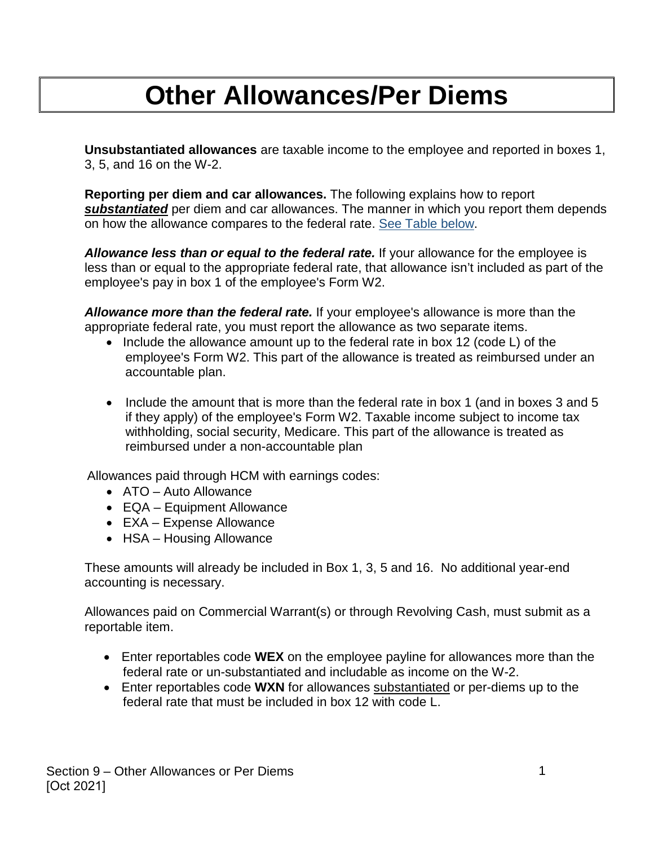## **Other Allowances/Per Diems**

**Unsubstantiated allowances** are taxable income to the employee and reported in boxes 1, 3, 5, and 16 on the W-2.

**Reporting per diem and car allowances.** The following explains how to report *substantiated* per diem and car allowances. The manner in which you report them depends on how the allowance compares to the federal rate. [See Table below.](#page-1-0)

*Allowance less than or equal to the federal rate.* If your allowance for the employee is less than or equal to the appropriate federal rate, that allowance isn't included as part of the employee's pay in box 1 of the employee's Form W2.

*Allowance more than the federal rate.* If your employee's allowance is more than the appropriate federal rate, you must report the allowance as two separate items.

- Include the allowance amount up to the federal rate in box 12 (code L) of the employee's Form W2. This part of the allowance is treated as reimbursed under an accountable plan.
- Include the amount that is more than the federal rate in box 1 (and in boxes 3 and 5 if they apply) of the employee's Form W2. Taxable income subject to income tax withholding, social security, Medicare. This part of the allowance is treated as reimbursed under a non-accountable plan

Allowances paid through HCM with earnings codes:

- ATO Auto Allowance
- EQA Equipment Allowance
- EXA Expense Allowance
- HSA Housing Allowance

These amounts will already be included in Box 1, 3, 5 and 16. No additional year-end accounting is necessary.

Allowances paid on Commercial Warrant(s) or through Revolving Cash, must submit as a reportable item.

- Enter reportables code **WEX** on the employee payline for allowances more than the federal rate or un-substantiated and includable as income on the W-2.
- Enter reportables code **WXN** for allowances substantiated or per-diems up to the federal rate that must be included in box 12 with code L.